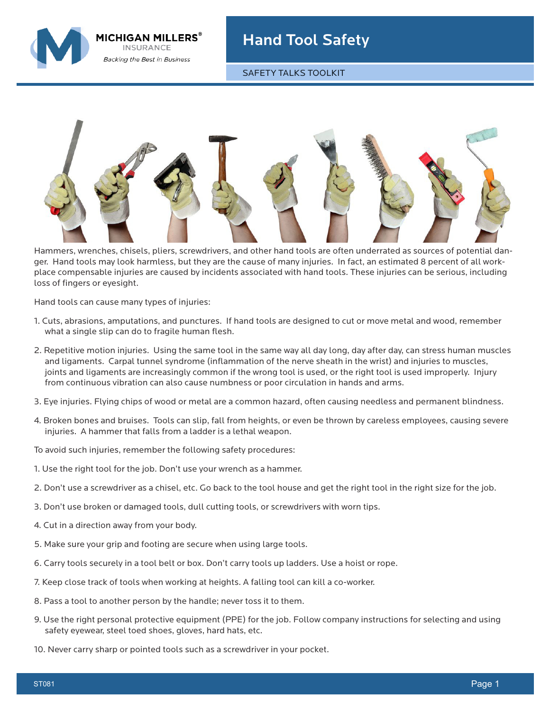MICHIGAN MILLERS $^\circ$ **INSURANCE Backing the Best in Business** 

## Hand Tool Safety

SAFETY TALKS TOOLKIT



Hammers, wrenches, chisels, pliers, screwdrivers, and other hand tools are often underrated as sources of potential danger. Hand tools may look harmless, but they are the cause of many injuries. In fact, an estimated 8 percent of all workplace compensable injuries are caused by incidents associated with hand tools. These injuries can be serious, including loss of fingers or eyesight.

Hand tools can cause many types of injuries:

- 1. Cuts, abrasions, amputations, and punctures. If hand tools are designed to cut or move metal and wood, remember what a single slip can do to fragile human flesh.
- 2. Repetitive motion injuries. Using the same tool in the same way all day long, day after day, can stress human muscles and ligaments. Carpal tunnel syndrome (inflammation of the nerve sheath in the wrist) and injuries to muscles, joints and ligaments are increasingly common if the wrong tool is used, or the right tool is used improperly. Injury from continuous vibration can also cause numbness or poor circulation in hands and arms.
- 3. Eye injuries. Flying chips of wood or metal are a common hazard, often causing needless and permanent blindness.
- 4. Broken bones and bruises. Tools can slip, fall from heights, or even be thrown by careless employees, causing severe injuries. A hammer that falls from a ladder is a lethal weapon.

To avoid such injuries, remember the following safety procedures:

- 1. Use the right tool for the job. Don't use your wrench as a hammer.
- 2. Don't use a screwdriver as a chisel, etc. Go back to the tool house and get the right tool in the right size for the job.
- 3. Don't use broken or damaged tools, dull cutting tools, or screwdrivers with worn tips.
- 4. Cut in a direction away from your body.
- 5. Make sure your grip and footing are secure when using large tools.
- 6. Carry tools securely in a tool belt or box. Don't carry tools up ladders. Use a hoist or rope.
- 7. Keep close track of tools when working at heights. A falling tool can kill a co-worker.
- 8. Pass a tool to another person by the handle; never toss it to them.
- 9. Use the right personal protective equipment (PPE) for the job. Follow company instructions for selecting and using safety eyewear, steel toed shoes, gloves, hard hats, etc.
- 10. Never carry sharp or pointed tools such as a screwdriver in your pocket.